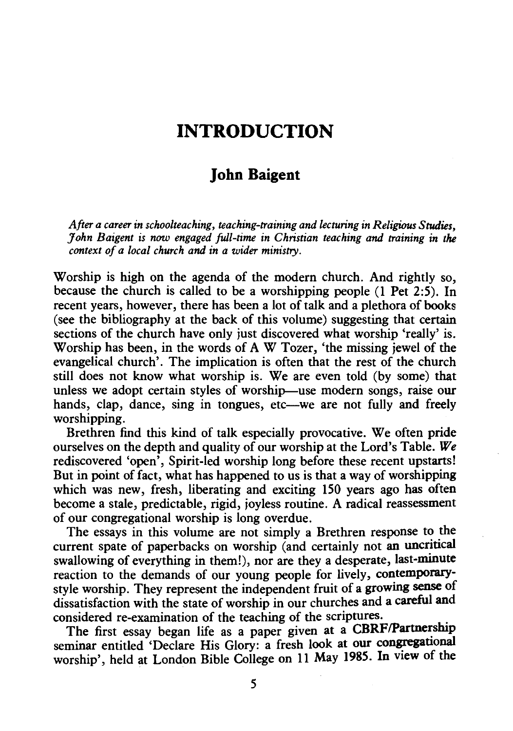## **INTRODUCTION**

## **John Baigent**

*After a career in schoolteaching, teaching-training and lecturing in Religious Studies, John Baigent is* now *engaged full-time in Christian teaching and training in the context of a local church and in a wider ministry.* 

Worship is high on the agenda of the modern church. And rightly so, because the church is called to be a worshipping people (1 Pet 2:5). In recent years, however, there has been a lot of talk and a plethora of books (see the bibliography at the back of this volume) suggesting that certain sections of the church have only just discovered what worship 'really' is. Worship has been, in the words of A W Tozer, 'the missing jewel of the evangelical church'. The implication is often that the rest of the church still does not know what worship is. We are even told (by some) that unless we adopt certain styles of worship—use modern songs, raise our hands, clap, dance, sing in tongues, etc—we are not fully and freely worshipping.

Brethren find this kind of talk especially provocative. We often pride ourselves on the depth and quality of our worship at the Lord's Table. *We*  rediscovered 'open', Spirit-led worship long before these recent upstarts! But in point of fact, what has happened to us is that a way of worshipping which was new, fresh, liberating and exciting 150 years ago has often become a stale, predictable, rigid, joyless routine. A radical reassessment of our congregational worship is long overdue.

The essays in this volume are not simply a Brethren response to the current spate of paperbacks on worship (and certainly not an uncritical swallowing of everything in them!), nor are they a desperate, last-minute reaction to the demands of our young people for lively, contemporarystyle worship. They represent the independent fruit of a growing sense of dissatisfaction with the state of worship in our churches and a careful and considered re-examination of the teaching of the scriptures. .

The first essay began life as a paper given at a CBRF/Partnership seminar entitled 'Declare His Glory: a fresh look at our congregational worship', held at London Bible College on 11 May 1985. In view of the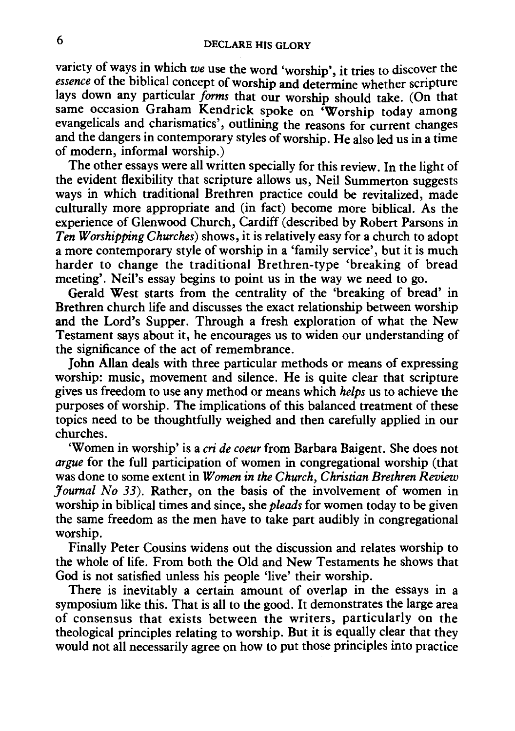variety of ways in which we use the word 'worship', it tries to discover the *essence* of the biblical concept of worship and determine whether scripture lays down any particular *forms* that our worship should take. (On that same occasion Graham Kendrick spoke on 'Worship today among evangelicals and charismatics', outlining the reasons for current changes and the dangers in contemporary styles of worship. He also led us in a time of modern, informal worship.)

The other essays were all written specially for this review. In the light of the evident flexibility that scripture allows us, Neil Summerton suggests ways in which traditional Brethren practice could be revitalized, made culturally more appropriate and (in fact) become more biblical. As the experience of Glenwood Church, Cardiff (described by Robert Parsons in *Ten Worshipping Churches)* shows, it is relatively easy for a church to adopt a more contemporary style of worship in a 'family service', but it is much harder to change the traditional Brethren-type 'breaking of bread meeting'. Neil's essay begins to point us in the way we need to go.

Gerald West starts from the centrality of the 'breaking of bread' in Brethren church life and discusses the exact relationship between worship and the Lord's Supper. Through a fresh exploration of what the New Testament says about it, he encourages us to widen our understanding of the significance of the act of remembrance.

John Allan deals with three particular methods or means of expressing worship: music, movement and silence. He is quite clear that scripture gives us freedom to use any method or means which *helps* us to achieve the purposes of worship. The implications of this balanced treatment of these topics need to be thoughtfully weighed and then carefully applied in our churches.

'Women in worship' is a *cri de coeur* from Barbara Baigent. She does not *argue* for the full participation of women in congregational worship (that was done to some extent in *Women in the Church, Christian Brethren Review Journal No 33).* Rather, on the basis of the involvement of women in worship in biblical times and since, she *pleads* for women today to be given the same freedom as the men have to take part audibly in congregational worship.

Finally Peter Cousins widens out the discussion and relates worship to the whole of life. From both the Old and New Testaments he shows that God is not satisfied unless his people 'live' their worship.

There is inevitably a certain amount of overlap in the essays in a symposium like this. That is all to the good. It demonstrates the large area of consensus that exists between the writers, particularly on the theological principles relating to worship. But it is equally clear that they would not all necessarily agree on how to put those principles into practice